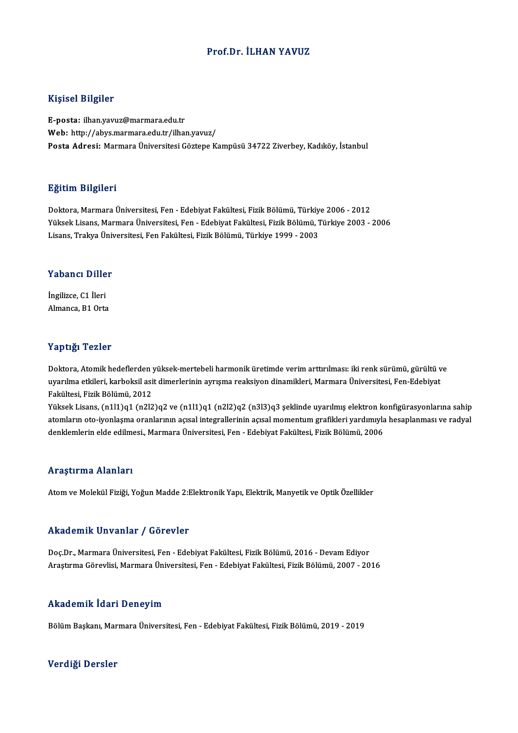### Prof.Dr. İLHAN YAVUZ

### Kişisel Bilgiler

E-posta: ilhan.yavuz@marmara.edu.tr Web: http://abys.marmara.edu.tr/ilhan.yavuz/ Posta Adresi: Marmara Üniversitesi Göztepe Kampüsü 34722 Ziverbey, Kadıköy, İstanbul

### Eğitim Bilgileri

Doktora,MarmaraÜniversitesi,Fen-EdebiyatFakültesi,FizikBölümü,Türkiye 2006 -2012 23.<br>29. Doktora, Marmara Üniversitesi, Fen - Edebiyat Fakültesi, Fizik Bölümü, Türkiye 2006 - 2012<br>Yüksek Lisans, Marmara Üniversitesi, Fen - Edebiyat Fakültesi, Fizik Bölümü, Türkiye 2003 - 2006<br>Lisans, Tralava Üniversite Doktora, Marmara Üniversitesi, Fen - Edebiyat Fakültesi, Fizik Bölümü, Türkiy<br>Yüksek Lisans, Marmara Üniversitesi, Fen - Edebiyat Fakültesi, Fizik Bölümü, 1<br>Lisans, Trakya Üniversitesi, Fen Fakültesi, Fizik Bölümü, Türkiye Lisans, Trakya Üniversitesi, Fen Fakültesi, Fizik Bölümü, Türkiye 1999 - 2003<br>Yabancı Diller

İngilizce,C1 İleri Almanca, B1 Orta

### Yaptığı Tezler

Doktora, Atomik hedeflerden yüksek-mertebeli harmonik üretimde verim arttırılması: iki renk sürümü, gürültü ve 1 up etgi. 1 02101<br>Doktora, Atomik hedeflerden yüksek-mertebeli harmonik üretimde verim arttırılması: iki renk sürümü, gürültü v<br>Felsültesi, Firik Bölümü, 2012 Doktora, Atomik hedeflerden<br>uyarılma etkileri, karboksil asi<br>Fakültesi, Fizik Bölümü, 2012<br><sup>Vültsok Lisans. (n1l1)91 (n2l3</sup> uyarılma etkileri, karboksil asit dimerlerinin ayrışma reaksiyon dinamikleri, Marmara Üniversitesi, Fen-Edebiyat<br>Fakültesi, Fizik Bölümü, 2012<br>Yüksek Lisans, (n1l1)q1 (n2l2)q2 ve (n1l1)q1 (n2l2)q2 (n3l3)q3 şeklinde uyarılm

Fakültesi, Fizik Bölümü, 2012<br>Yüksek Lisans, (n1l1)q1 (n2l2)q2 ve (n1l1)q1 (n2l2)q2 (n3l3)q3 şeklinde uyarılmış elektron konfigürasyonlarına sahip<br>atomların oto-iyonlaşma oranlarının açısal integrallerinin açısal momentum Yüksek Lisans, (n1l1)q1 (n2l2)q2 ve (n1l1)q1 (n2l2)q2 (n3l3)q3 şeklinde uyarılmış elektron ko<br>atomların oto-iyonlaşma oranlarının açısal integrallerinin açısal momentum grafikleri yardımıyla<br>denklemlerin elde edilmesi., Ma denklemlerin elde edilmesi., Marmara Üniversitesi, Fen - Edebiyat Fakültesi, Fizik Bölümü, 2006<br>Araştırma Alanları

Atom ve Molekül Fiziği, Yoğun Madde 2:Elektronik Yapı, Elektrik, Manyetik ve Optik Özellikler

### Akademik Unvanlar / Görevler

Doç.Dr., Marmara Üniversitesi, Fen - Edebiyat Fakültesi, Fizik Bölümü, 2016 - Devam Ediyor AraştırmaGörevlisi,MarmaraÜniversitesi,Fen-EdebiyatFakültesi,FizikBölümü,2007 -2016

### Akademik İdari Deneyim

BölümBaşkanı,MarmaraÜniversitesi,Fen-EdebiyatFakültesi,FizikBölümü,2019 -2019

### Verdiği Dersler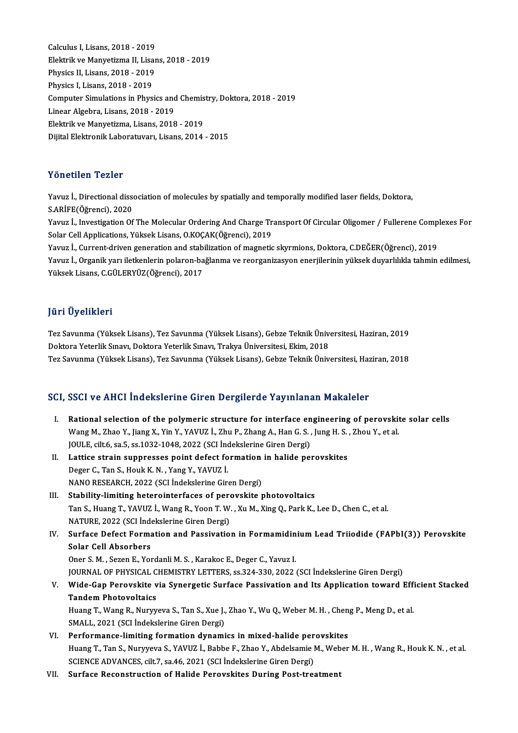Calculus I,Lisans,2018 -2019 Calculus I, Lisans, 2018 - 2019<br>Elektrik ve Manyetizma II, Lisans, 2018 - 2019<br>Physigs II, Lisans, 2018 - 2019 Calculus I, Lisans, 2018 - 2019<br>Elektrik ve Manyetizma II, Lisar<br>Physics II, Lisans, 2018 - 2019<br>Physics I Jisans, 2018 - 2019 Physics II, Lisans, 2018 - 2019<br>Physics I, Lisans, 2018 - 2019 Physics II, Lisans, 2018 - 2019<br>Physics I, Lisans, 2018 - 2019<br>Computer Simulations in Physics and Chemistry, Doktora, 2018 - 2019<br>Linear Algebra, Lisans, 2018 - 2019 Physics I, Lisans, 2018 - 2019<br>Computer Simulations in Physics and<br>Linear Algebra, Lisans, 2018 - 2019<br>Floktrik ve Manyatizma, Lisans, 2019 Computer Simulations in Physics and Chemis<br>Linear Algebra, Lisans, 2018 - 2019<br>Elektrik ve Manyetizma, Lisans, 2018 - 2019<br>Dijitel Elektronik Laberaturen, Lisans, 2014 Linear Algebra, Lisans, 2018 - 2019<br>Elektrik ve Manyetizma, Lisans, 2018 - 2019<br>Dijital Elektronik Laboratuvarı, Lisans, 2014 - 2015

### Yönetilen Tezler

Yönetilen Tezler<br>Yavuz İ., Directional dissociation of molecules by spatially and temporally modified laser fields, Doktora,<br>S.ARİEE(Öğrensi), 2020 TURUCHEN TURICI<br>Yavuz İ., Directional disse<br>S.ARİFE(Öğrenci), 2020<br>Yavuz İ. Investisation Of Yavuz İ., Directional dissociation of molecules by spatially and temporally modified laser fields, Doktora,<br>S.ARİFE(Öğrenci), 2020<br>Yavuz İ., Investigation Of The Molecular Ordering And Charge Transport Of Circular Oligomer

S.ARİFE(Öğrenci), 2020<br>Yavuz İ., Investigation Of The Molecular Ordering And Charge Tr<br>Solar Cell Applications, Yüksek Lisans, O.KOÇAK(Öğrenci), 2019<br>Yayuz İ. Current driver generation and stabilization of megnetic Yavuz İ., Investigation Of The Molecular Ordering And Charge Transport Of Circular Oligomer / Fullerene Comp<br>Solar Cell Applications, Yüksek Lisans, O.KOÇAK(Öğrenci), 2019<br>Yavuz İ., Current-driven generation and stabilizat

Solar Cell Applications, Yüksek Lisans, O.KOÇAK(Öğrenci), 2019<br>Yavuz İ., Current-driven generation and stabilization of magnetic skyrmions, Doktora, C.DEĞER(Öğrenci), 2019<br>Yüksek Lisane, G.CÜLEPVÜZ(Öğrensi), 2017 Yavuz İ., Current-driven generation and stab:<br>Yavuz İ., Organik yarı iletkenlerin polaron-ba<br>Yüksek Lisans, C.GÜLERYÜZ(Öğrenci), 2017 Yüksek Lisans, C.GÜLERYÜZ(Öğrenci), 2017<br>Jüri Üyelikleri

**Jüri Üyelikleri**<br>Tez Savunma (Yüksek Lisans), Tez Savunma (Yüksek Lisans), Gebze Teknik Üniversitesi, Haziran, 2019<br>Pektera Yeterlik Sınavı, Dektera Yeterlik Sınavı, Trakva Üniversitesi, Ekim, 2019 yarr Oyommorr<br>Tez Savunma (Yüksek Lisans), Tez Savunma (Yüksek Lisans), Gebze Teknik Üniv<br>Doktora Yeterlik Sınavı, Doktora Yeterlik Sınavı, Trakya Üniversitesi, Ekim, 2018<br>Tez Sayunma (Vüksek Lisans), Tez Sayunma (Vüksek L Doktora Yeterlik Sınavı, Doktora Yeterlik Sınavı, Trakya Üniversitesi, Ekim, 2018<br>Tez Savunma (Yüksek Lisans), Tez Savunma (Yüksek Lisans), Gebze Teknik Üniversitesi, Haziran, 2018

### SCI, SSCI ve AHCI İndekslerine Giren Dergilerde Yayınlanan Makaleler

I. Rational selection of the polymeric structure for interface engineering of perovskite solar cells Boot Ve Timer intendent into an on Bergher at Tay Intanant Pranafold<br>Rational selection of the polymeric structure for interface engineering of perovskit<br>Wang M., Zhao Y., Jiang X., Yin Y., YAVUZ İ., Zhu P., Zhang A., Han Rational selection of the polymeric structure for interface en<br>Wang M., Zhao Y., Jiang X., Yin Y., YAVUZ İ., Zhu P., Zhang A., Han G. S. ,<br>JOULE, cilt.6, sa.5, ss.1032-1048, 2022 (SCI İndekslerine Giren Dergi)<br>Lattise stra JOULE, cilt.6, sa.5, ss.1032-1048, 2022 (SCI Indekslerine Giren Dergi)<br>II. Lattice strain suppresses point defect formation in halide perovskites Deger C., Tan S., Houk K.N., Yang Y., YAVUZ İ. NANO RESEARCH, 2022 (SCI İndekslerine Giren Dergi) III. Stability-limiting heterointerfaces of perovskite photovoltaics NANO RESEARCH, 2022 (SCI İndekslerine Giren Dergi)<br>Stability-limiting heterointerfaces of perovskite photovoltaics<br>Tan S., Huang T., YAVUZ İ., Wang R., Yoon T. W. , Xu M., Xing Q., Park K., Lee D., Chen C., et al.<br>NATURE 2 Stability-limiting heterointerfaces of percent<br>Tan S., Huang T., YAVUZ İ., Wang R., Yoon T. W.<br>NATURE, 2022 (SCI İndekslerine Giren Dergi)<br>Surface Defect Fermation and Bessivatio Tan S., Huang T., YAVUZ İ., Wang R., Yoon T. W. , Xu M., Xing Q., Park K., Lee D., Chen C., et al.<br>NATURE, 2022 (SCI İndekslerine Giren Dergi)<br>IV. Surface Defect Formation and Passivation in Formamidinium Lead Triiodide (F NATURE, 2022 (SCI Indekslerine Giren Dergi)<br>Surface Defect Formation and Passivation in Formamidin<br>Solar Cell Absorbers<br>Oner S. M., Sezen E., Yordanli M. S., Karakoc E., Deger C., Yavuz I. Surface Defect Formation and Passivation in Formamidin<br>Solar Cell Absorbers<br>Oner S. M. , Sezen E., Yordanli M. S. , Karakoc E., Deger C., Yavuz I.<br>JOUPMAL OF BUVSICAL CHEMISTRY LETTERS, 28,224,220, 2022. JOURNAL OF PHYSICAL CHEMISTRY LETTERS, ss.324-330, 2022 (SCI İndekslerine Giren Dergi) Oner S. M. , Sezen E., Yordanli M. S. , Karakoc E., Deger C., Yavuz I.<br>JOURNAL OF PHYSICAL CHEMISTRY LETTERS, ss.324-330, 2022 (SCI İndekslerine Giren Dergi)<br>V. Wide-Gap Perovskite via Synergetic Surface Passivation an JOURNAL OF PHYSICAL C<br>Wide-Gap Perovskite v<br>Tandem Photovoltaics<br><sup>Huang T.</sup> Wang P. Nuww Wide-Gap Perovskite via Synergetic Surface Passivation and Its Application toward Eff:<br>Tandem Photovoltaics<br>Huang T., Wang R., Nuryyeva S., Tan S., Xue J., Zhao Y., Wu Q., Weber M. H. , Cheng P., Meng D., et al.<br>SMALL 2021 Tandem Photovoltaics<br>Huang T., Wang R., Nuryyeva S., Tan S., Xue J., Zhao Y., Wu Q., Weber M. H. , Cheng P., Meng D., et al.<br>SMALL, 2021 (SCI İndekslerine Giren Dergi) VI. Performance-limiting formation dynamics in mixed-halide perovskites Huang T., Tan S., Nuryyeva S., YAVUZ İ., Babbe F., Zhao Y., Abdelsamie M., Weber M. H., Wang R., Houk K. N., et al. SCIENCE ADVANCES, cilt.7, sa.46, 2021 (SCI İndekslerine Giren Dergi) VII. Surface Reconstruction of Halide Perovskites During Post-treatment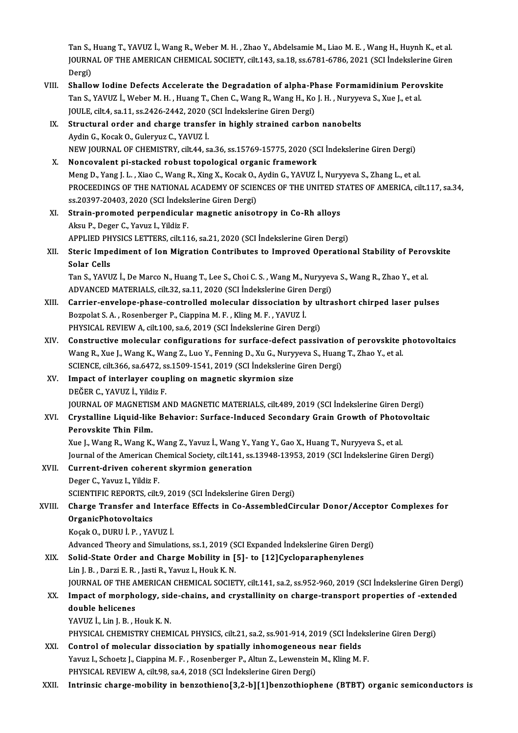Tan S., Huang T., YAVUZ İ., Wang R., Weber M. H. , Zhao Y., Abdelsamie M., Liao M. E. , Wang H., Huynh K., et al.<br>JOUPNAL OF THE AMERICAN CHEMICAL SOCIETY, silt 143, sa 19, sa 6791, 6796, 2021, (SCI İndelalerine Giran Tan S., Huang T., YAVUZ İ., Wang R., Weber M. H. , Zhao Y., Abdelsamie M., Liao M. E. , Wang H., Huynh K., et al<br>JOURNAL OF THE AMERICAN CHEMICAL SOCIETY, cilt.143, sa.18, ss.6781-6786, 2021 (SCI İndekslerine Giren<br>Persi Tan S.,<br>JOURN,<br>Dergi)<br>Shallei JOURNAL OF THE AMERICAN CHEMICAL SOCIETY, cilt.143, sa.18, ss.6781-6786, 2021 (SCI Indekslerine Gire<br>Dergi)<br>VIII. Shallow Iodine Defects Accelerate the Degradation of alpha-Phase Formamidinium Perovskite<br>Top S. VAVIIZ L. W

- Dergi)<br>Shallow Iodine Defects Accelerate the Degradation of alpha-Phase Formamidinium Perov<br>Tan S., YAVUZ İ., Weber M. H. , Huang T., Chen C., Wang R., Wang H., Ko J. H. , Nuryyeva S., Xue J., et al.<br>JOULE si<sup>lt A</sup>. Sa 11, Shallow Iodine Defects Accelerate the Degradation of alpha-Pl<br>Tan S., YAVUZ İ., Weber M. H. , Huang T., Chen C., Wang R., Wang H., Ko<br>JOULE, cilt.4, sa.11, ss.2426-2442, 2020 (SCI İndekslerine Giren Dergi)<br>Structural order Tan S., YAVUZ İ., Weber M. H. , Huang T., Chen C., Wang R., Wang H., Ko J. H. , Nuryyeva S., Xue J., et al.<br>JOULE, cilt.4, sa.11, ss.2426-2442, 2020 (SCI indekslerine Giren Dergi)<br>IX. Structural order and charge transfer i
- JOULE, cilt.4, sa.11, ss.2426-2442, 2020 (<br>Structural order and charge transfe<br>Aydin G., Kocak O., Guleryuz C., YAVUZ İ.<br>NEW JOUPNAL OE CHEMISTPY, cilt.44, s NEWJOURNALOF CHEMISTRY, cilt.44, sa.36, ss.15769-15775,2020 (SCI İndekslerineGirenDergi)
- X. Noncovalent pi-stacked robust topological organic framework NEW JOURNAL OF CHEMISTRY, cilt.44, sa.36, ss.15769-15775, 2020 (SCI İndekslerine Giren Dergi)<br>Noncovalent pi-stacked robust topological organic framework<br>Meng D., Yang J. L. , Xiao C., Wang R., Xing X., Kocak O., Aydin G., PROCEEDINGS OF THE NATIONAL ACADEMY OF SCIENCES OF THE UNITED STATES OF AMERICA, cilt.117, sa.34, ss.20397-20403, 2020 (SCI İndekslerine Giren Dergi) Meng D., Yang J. L. , Xiao C., Wang R., Xing X., Kocak O.,<br>PROCEEDINGS OF THE NATIONAL ACADEMY OF SCIEI<br>ss.20397-20403, 2020 (SCI İndekslerine Giren Dergi)<br>Strain promoted perpendisular magnetis enject PROCEEDINGS OF THE NATIONAL ACADEMY OF SCIENCES OF THE UNITED S'<br>ss.20397-20403, 2020 (SCI indekslerine Giren Dergi)<br>XI. Strain-promoted perpendicular magnetic anisotropy in Co-Rh alloys<br>Alsu B. Desex G. Young L. Vildig E
- AksuP.,Deger C.,Yavuz I.,YildizF. Strain-promoted perpendicular magnetic anisotropy in Co-Rh alloys<br>Aksu P., Deger C., Yavuz I., Yildiz F.<br>APPLIED PHYSICS LETTERS, cilt.116, sa.21, 2020 (SCI İndekslerine Giren Dergi)<br>Staria Impodiment of Iop Migration Cont APPLIED PHYSICS LETTERS, cilt.116, sa.21, 2020 (SCI Indekslerine Giren Dergi)
- XII. Steric Impediment of Ion Migration Contributes to Improved Operational Stability of Perovskite<br>Solar Cells Steric Impediment of Ion Migration Contributes to Improved Operational Stability of Perov<br>Solar Cells<br>Tan S., YAVUZ İ., De Marco N., Huang T., Lee S., Choi C. S. , Wang M., Nuryyeva S., Wang R., Zhao Y., et al.<br>ADVANCED MA

Solar Cells<br>Tan S., YAVUZ İ., De Marco N., Huang T., Lee S., Choi C. S. , Wang M., Nuryyev<br>ADVANCED MATERIALS, cilt.32, sa.11, 2020 (SCI İndekslerine Giren Dergi)<br>Carrier anyalana phase santrallad malasular dissosiation by Tan S., YAVUZ İ., De Marco N., Huang T., Lee S., Choi C. S. , Wang M., Nuryyeva S., Wang R., Zhao Y., et al.<br>ADVANCED MATERIALS, cilt.32, sa.11, 2020 (SCI İndekslerine Giren Dergi)<br>XIII. Carrier-envelope-phase-controlled m

- ADVANCED MATERIALS, cilt.32, sa.11, 2020 (SCI Indekslerine Giren Dergi)<br>Carrier-envelope-phase-controlled molecular dissociation by ultra<br>Bozpolat S. A. , Rosenberger P., Ciappina M. F. , Kling M. F. , YAVUZ I.<br>PHYSICAL RE Carrier-envelope-phase-controlled molecular dissociation by ul<br>Bozpolat S. A. , Rosenberger P., Ciappina M. F. , Kling M. F. , YAVUZ İ.<br>PHYSICAL REVIEW A, cilt.100, sa.6, 2019 (SCI İndekslerine Giren Dergi)<br>Constructive mo Bozpolat S. A., Rosenberger P., Ciappina M. F., Kling M. F., YAVUZ İ.<br>PHYSICAL REVIEW A, cilt.100, sa.6, 2019 (SCI İndekslerine Giren Dergi)<br>XIV. Constructive molecular configurations for surface-defect passivation of pero
- PHYSICAL REVIEW A, cilt.100, sa.6, 2019 (SCI İndekslerine Giren Dergi)<br>Constructive molecular configurations for surface-defect passivation of perovskite <sub>]</sub><br>Wang R., Xue J., Wang K., Wang Z., Luo Y., Fenning D., Xu G., Nu Constructive molecular configurations for surface-defect passivation<br>Wang R., Xue J., Wang K., Wang Z., Luo Y., Fenning D., Xu G., Nuryyeva S., Huang<br>SCIENCE, cilt.366, sa.6472, ss.1509-1541, 2019 (SCI İndekslerine Giren D Wang R., Xue J., Wang K., Wang Z., Luo Y., Fenning D., Xu G., Nury<br>SCIENCE, cilt.366, sa.6472, ss.1509-1541, 2019 (SCI Indekslerine<br>XV. Impact of interlayer coupling on magnetic skyrmion size<br>DEČER C. VAVUZ J. Vildig E
- SCIENCE, cilt.366, sa.6472, s:<br>Impact of interlayer coup<br>DEĞER C., YAVUZ İ., Yildiz F.<br>JOUPNAL OE MACNETISM A Impact of interlayer coupling on magnetic skyrmion size<br>DEĞER C., YAVUZ İ., Yildiz F.<br>JOURNAL OF MAGNETISM AND MAGNETIC MATERIALS, cilt.489, 2019 (SCI İndekslerine Giren Dergi)<br>Crystalline Liquid like Behaviary Surface Ind
- DEĞER C., YAVUZ İ., Yildiz F.<br>JOURNAL OF MAGNETISM AND MAGNETIC MATERIALS, cilt.489, 2019 (SCI İndekslerine Giren Dergi)<br>XVI. Crystalline Liquid-like Behavior: Surface-Induced Secondary Grain Growth of Photovoltaic<br>Per JOURNAL OF MAGNETIS<br>Crystalline Liquid-like<br>Perovskite Thin Film.<br>Yue L.Wang B. Wang K

Xue J.,WangR.,WangK.,Wang Z.,Yavuz İ.,WangY.,YangY.,Gao X.,HuangT.,Nuryyeva S.,etal. Perovskite Thin Film.<br>Xue J., Wang R., Wang K., Wang Z., Yavuz İ., Wang Y., Yang Y., Gao X., Huang T., Nuryyeva S., et al.<br>Journal of the American Chemical Society, cilt.141, ss.13948-13953, 2019 (SCI İndekslerine Giren De Xue J., Wang R., Wang K., Wang Z., Yavuz İ., Wang Y., Y<br>Journal of the American Chemical Society, cilt.141, ss.<br>XVII. Current-driven coherent skyrmion generation<br>Degen G. Vauur J. Vildig F.

Journal of the American C.<br>Current-driven coherer<br>Deger C., Yavuz I., Yildiz F.<br>SCIENTIEIC BEROPTS silt XVII. Current-driven coherent skyrmion generation<br>Deger C., Yavuz I., Yildiz F.<br>SCIENTIFIC REPORTS, cilt.9, 2019 (SCI İndekslerine Giren Dergi)

# Deger C., Yavuz I., Yildiz F.<br>SCIENTIFIC REPORTS, cilt.9, 2019 (SCI İndekslerine Giren Dergi)<br>XVIII. Charge Transfer and Interface Effects in Co-AssembledCircular Donor/Acceptor Complexes for<br>OrganisPhatevoltaics OrganicPhotovoltaics<br>Kocak O., DURU İ. P., YAVUZ İ. Charge Transfer and Interi<br>OrganicPhotovoltaics<br>Koçak O., DURU İ. P. , YAVUZ İ.<br>Advanced Theory and Simulat

Advanced Theory and Simulations, ss.1, 2019 (SCI Expanded Indekslerine Giren Dergi)

Koçak O., DURU İ. P. , YAVUZ İ.<br>Advanced Theory and Simulations, ss.1, 2019 (SCI Expanded Indekslerine Giren Derg<br>XIX. Solid-State Order and Charge Mobility in [5]- to [12]Cycloparaphenylenes Advanced Theory and Simulations, ss.1, 2019 (S<br>Solid-State Order and Charge Mobility in [<br>Lin J. B. , Darzi E. R. , Jasti R., Yavuz I., Houk K. N.<br>JOUPMAL OF THE AMERICAN CHEMICAL SOCIET Solid-State Order and Charge Mobility in [5]- to [12]Cycloparaphenylenes<br>Lin J. B. , Darzi E. R. , Jasti R., Yavuz I., Houk K. N.<br>JOURNAL OF THE AMERICAN CHEMICAL SOCIETY, cilt.141, sa.2, ss.952-960, 2019 (SCI İndekslerine Lin J. B. , Darzi E. R. , Jasti R., Yavuz I., Houk K. N.<br>JOURNAL OF THE AMERICAN CHEMICAL SOCIETY, cilt.141, sa.2, ss.952-960, 2019 (SCI Indekslerine Giren Dergi<br>XX. Impact of morphology, side-chains, and crystallinity on

# **JOURNAL OF THE A<br>Impact of morphe<br>double helicenes**<br>VAVUZ L Lin L P L Impact of morphology, sid<br>double helicenes<br>YAVUZ İ., Lin J. B. , Houk K. N.<br>PHYSICAL CHEMISTRY CHEM double helicenes<br>YAVUZ İ., Lin J. B. , Houk K. N.<br>PHYSICAL CHEMISTRY CHEMICAL PHYSICS, cilt.21, sa.2, ss.901-914, 2019 (SCI İndekslerine Giren Dergi)<br>Centrel ef melesular dissesiation by enetially inhemeseneeus near fielde

YAVUZ İ., Lin J. B., Houk K. N.<br>PHYSICAL CHEMISTRY CHEMICAL PHYSICS, cilt.21, sa.2, ss.901-914, 2019 (SCI İndel<br>XXI. Control of molecular dissociation by spatially inhomogeneous near fields<br>Young L. Schootz L. Cianning M. PHYSICAL CHEMISTRY CHEMICAL PHYSICS, cilt.21, sa.2, ss.901-914, 2019 (SCI İndeks)<br>Control of molecular dissociation by spatially inhomogeneous near fields<br>Yavuz I., Schoetz J., Ciappina M. F., Rosenberger P., Altun Z., Lew XXI. Control of molecular dissociation by spatially inhomogeneous near fields<br>Yavuz I., Schoetz J., Ciappina M. F., Rosenberger P., Altun Z., Lewenstein M., Kling M. F.<br>PHYSICAL REVIEW A, cilt.98, sa.4, 2018 (SCI Indeksler

XXII. Intrinsic charge-mobility in benzothieno[3,2-b][1]benzothiophene (BTBT) organic semiconductors is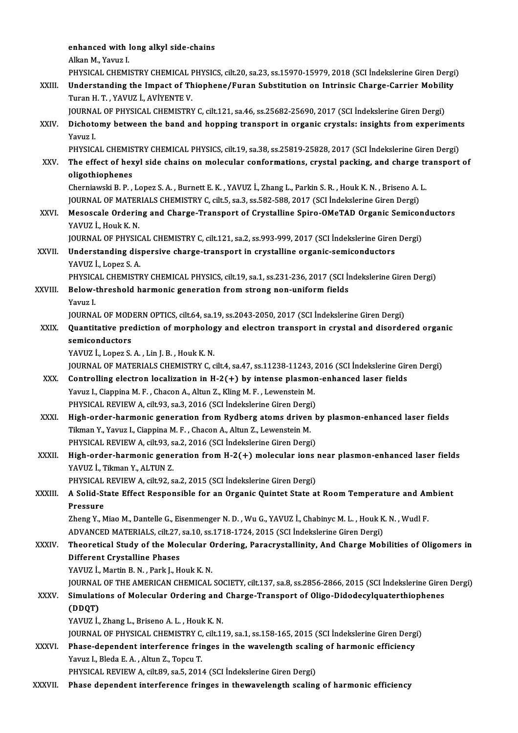enhanced with long alkyl side-chains<br>Alkan M. Young J enhanced with I<br>Alkan M., Yavuz I.<br>PHYSICAL CHEMI enhanced with long alkyl side-chains<br>Alkan M., Yavuz I.<br>PHYSICAL CHEMISTRY CHEMICAL PHYSICS, cilt.20, sa.23, ss.15970-15979, 2018 (SCI İndekslerine Giren Dergi)<br>Understanding the Impest of Thiophone (Europ Substitution on Alkan M., Yavuz I.<br>PHYSICAL CHEMISTRY CHEMICAL PHYSICS, cilt.20, sa.23, ss.15970-15979, 2018 (SCI İndekslerine Giren Dergi<br>XXIII. Understanding the Impact of Thiophene/Furan Substitution on Intrinsic Charge-Carrier Mobilit PHYSICAL CHEMISTRY CHEMICAL F<br>Understanding the Impact of Th<br>Turan H. T. , YAVUZ İ., AVİYENTE V.<br>JOUPNAL OF PHYSICAL CHEMISTRY Understanding the Impact of Thiophene/Furan Substitution on Intrinsic Charge-Carrier Mobili<br>Turan H. T. , YAVUZ İ., AVİYENTE V.<br>JOURNAL OF PHYSICAL CHEMISTRY C, cilt.121, sa.46, ss.25682-25690, 2017 (SCI İndekslerine Giren Turan H. T. , YAVUZ İ., AVİYENTE V.<br>JOURNAL OF PHYSICAL CHEMISTRY C, cilt.121, sa.46, ss.25682-25690, 2017 (SCI İndekslerine Giren Dergi)<br>XXIV. Dichotomy between the band and hopping transport in organic crystals: insi JOURNA<br><mark>Dichoto</mark><br>Yavuz I.<br>puvsic*i* Dichotomy between the band and hopping transport in organic crystals: insights from experiments<br>Yavuz I.<br>PHYSICAL CHEMISTRY CHEMICAL PHYSICS, cilt.19, sa.38, ss.25819-25828, 2017 (SCI İndekslerine Giren Dergi) Yavuz I.<br>PHYSICAL CHEMISTRY CHEMICAL PHYSICS, cilt.19, sa.38, ss.25819-25828, 2017 (SCI İndekslerine Giren Dergi)<br>XXV. The effect of hexyl side chains on molecular conformations, crystal packing, and charge transport of PHYSICAL CHEMIS<br>The effect of hex<br>oligothiophenes<br>Chemiaughi P-P The effect of hexyl side chains on molecular conformations, crystal packing, and charge tr<br>oligothiophenes<br>Cherniawski B. P. , Lopez S. A. , Burnett E. K. , YAVUZ İ., Zhang L., Parkin S. R. , Houk K. N. , Briseno A. L<br>JOUP oligothiophenes<br>Cherniawski B. P. , Lopez S. A. , Burnett E. K. , YAVUZ İ., Zhang L., Parkin S. R. , Houk K. N. , Briseno A. L<br>JOURNAL OF MATERIALS CHEMISTRY C, cilt.5, sa.3, ss.582-588, 2017 (SCI İndekslerine Giren Dergi) Cherniawski B. P. , Lopez S. A. , Burnett E. K. , YAVUZ İ., Zhang L., Parkin S. R. , Houk K. N. , Briseno A. L.<br>JOURNAL OF MATERIALS CHEMISTRY C, cilt.5, sa.3, ss.582-588, 2017 (SCI İndekslerine Giren Dergi)<br>XXVI. Mesoscal **JOURNAL OF MATER<br>Mesoscale Orderin<br>YAVUZ İ., Houk K. N.**<br>JOUPNAL OF PHYSIC Mesoscale Ordering and Charge-Transport of Crystalline Spiro-OMeTAD Organic Semicon<br>YAVUZ İ., Houk K. N.<br>JOURNAL OF PHYSICAL CHEMISTRY C, cilt.121, sa.2, ss.993-999, 2017 (SCI İndekslerine Giren Dergi)<br>Understanding dianer YAVUZ İ., Houk K. N.<br>JOURNAL OF PHYSICAL CHEMISTRY C, cilt.121, sa.2, ss.993-999, 2017 (SCI İndekslerine Giren<br>XXVII. Understanding dispersive charge-transport in crystalline organic-semiconductors<br>VAVIIZ İ. LORG S.A **JOURNAL OF PHYSIC<br>Understanding dis<br>YAVUZ İ., Lopez S. A.<br>PHYSICAL CHEMISTI** Understanding dispersive charge-transport in crystalline organic-semiconductors<br>YAVUZ İ., Lopez S. A.<br>PHYSICAL CHEMISTRY CHEMICAL PHYSICS, cilt.19, sa.1, ss.231-236, 2017 (SCI İndekslerine Giren Dergi)<br>Pelew thresheld berm YAVUZ İ., Lopez S. A.<br>PHYSICAL CHEMISTRY CHEMICAL PHYSICS, cilt.19, sa.1, ss.231-236, 2017 (SCI İ.<br>XXVIII. Below-threshold harmonic generation from strong non-uniform fields<br>Yavuz I. PHYSICA<br>Below-<br>Yavuz I.<br>IOUPNA JOURNAL OF MODERN OPTICS, cilt.64, sa.19, ss.2043-2050, 2017 (SCI İndekslerine Giren Dergi) Yavuz I.<br>JOURNAL OF MODERN OPTICS, cilt.64, sa.19, ss.2043-2050, 2017 (SCI İndekslerine Giren Dergi)<br>XXIX. Quantitative prediction of morphology and electron transport in crystal and disordered organic<br>comiconductors **JOURNAL OF MOD<br>Quantitative pre<br>semiconductors**<br>VAVUZ LADOZS **Quantitative prediction of morpholog<br>semiconductors<br>YAVUZ İ., Lopez S. A. , Lin J. B. , Houk K. N.<br>JOUPNAL OF MATERIALS CHEMISTRY G. 6** semiconductors<br>YAVUZ İ., Lopez S. A. , Lin J. B. , Houk K. N.<br>JOURNAL OF MATERIALS CHEMISTRY C, cilt.4, sa.47, ss.11238-11243, 2016 (SCI İndekslerine Giren Dergi)<br>Controlling electron localization in H. 3(+) by intense pla YAVUZ İ., Lopez S. A., Lin J. B., Houk K. N.<br>JOURNAL OF MATERIALS CHEMISTRY C, cilt.4, sa.47, ss.11238-11243, 2016 (SCI İndekslerine Gir<br>XXX. Controlling electron localization in H-2(+) by intense plasmon-enhanced laser fi JOURNAL OF MATERIALS CHEMISTRY C, cilt.4, sa.47, ss.11238-11243, <br>Controlling electron localization in H-2(+) by intense plasmor<br>Yavuz I., Ciappina M. F. , Chacon A., Altun Z., Kling M. F. , Lewenstein M.<br>PHYSICAL REVIEW A Controlling electron localization in H-2(+) by intense plasmon<br>Yavuz I., Ciappina M. F. , Chacon A., Altun Z., Kling M. F. , Lewenstein M.<br>PHYSICAL REVIEW A, cilt.93, sa.3, 2016 (SCI İndekslerine Giren Dergi)<br>Hish order ba Yavuz I., Ciappina M. F., Chacon A., Altun Z., Kling M. F., Lewenstein M.<br>PHYSICAL REVIEW A, cilt.93, sa.3, 2016 (SCI Indekslerine Giren Dergi)<br>XXXI. High-order-harmonic generation from Rydberg atoms driven by plasmon-enha PHYSICAL REVIEW A, cilt.93, sa.3, 2016 (SCI Indekslerine Giren Dergi<br>High-order-harmonic generation from Rydberg atoms driven<br>Tikman Y., Yavuz I., Ciappina M. F. , Chacon A., Altun Z., Lewenstein M.<br>PHYSICAL PEVIEW A, silt High-order-harmonic generation from Rydberg atoms driven h<br>Tikman Y., Yavuz I., Ciappina M. F. , Chacon A., Altun Z., Lewenstein M.<br>PHYSICAL REVIEW A, cilt.93, sa.2, 2016 (SCI İndekslerine Giren Dergi)<br>High order harmonis Tikman Y., Yavuz I., Ciappina M. F. , Chacon A., Altun Z., Lewenstein M.<br>PHYSICAL REVIEW A, cilt.93, sa.2, 2016 (SCI Indekslerine Giren Dergi)<br>XXXII. High-order-harmonic generation from H-2(+) molecular ions near plasm PHYSICAL REVIEW A, cilt.93, s<br>High-order-harmonic gene<br>YAVUZ İ., Tikman Y., ALTUN Z.<br>PHYSICAL PEVIEW A, cilt.93, s High-order-harmonic generation from H-2(+) molecular ions<br>YAVUZ İ., Tikman Y., ALTUN Z.<br>PHYSICAL REVIEW A, cilt.92, sa.2, 2015 (SCI İndekslerine Giren Dergi)<br>A Solid State Effect Beaponsible for an Oxeania Quintet State a: YAVUZ İ., Tikman Y., ALTUN Z.<br>PHYSICAL REVIEW A, cilt.92, sa.2, 2015 (SCI İndekslerine Giren Dergi)<br>XXXIII. A Solid-State Effect Responsible for an Organic Quintet State at Room Temperature and Ambient<br>Pressure PHYSICAL REVIEW A, cilt.92, sa.2, 2015 (SCI Indekslerine Giren Dergi) A Solid-State Effect Responsible for an Organic Quintet State at Room Temperature and An<br>Pressure<br>Zheng Y., Miao M., Dantelle G., Eisenmenger N. D. , Wu G., YAVUZ İ., Chabinyc M. L. , Houk K. N. , Wudl F.<br>ADVANCED MATERIAL Pressure<br>Zheng Y., Miao M., Dantelle G., Eisenmenger N. D. , Wu G., YAVUZ İ., Chabinyc M. L. , Houk K<br>ADVANCED MATERIALS, cilt.27, sa.10, ss.1718-1724, 2015 (SCI İndekslerine Giren Dergi)<br>Theoretisel Study of the Molegular Zheng Y., Miao M., Dantelle G., Eisenmenger N. D. , Wu G., YAVUZ İ., Chabinyc M. L. , Houk K. N. , Wudl F.<br>ADVANCED MATERIALS, cilt.27, sa.10, ss.1718-1724, 2015 (SCI İndekslerine Giren Dergi)<br>XXXIV. Theoretical Study ADVANCED MATERIALS, cilt.27, sa.10, ss.1718-1724, 2015 (SCI Indekslerine Giren Dergi)<br>Theoretical Study of the Molecular Ordering, Paracrystallinity, And Charge Mol<br>Different Crystalline Phases<br>YAVUZ I., Martin B. N., Park Theoretical Study of the Molecular C<br>Different Crystalline Phases<br>YAVUZ İ., Martin B.N. , Park J., Houk K.N.<br>JOUPMAL OF THE AMERICAN CHEMICAL Different Crystalline Phases<br>YAVUZ İ., Martin B. N. , Park J., Houk K. N.<br>JOURNAL OF THE AMERICAN CHEMICAL SOCIETY, cilt.137, sa.8, ss.2856-2866, 2015 (SCI İndekslerine Giren Dergi)<br>Simulations of Mologular Ordering and Ch YAVUZ İ., Martin B. N. , Park J., Houk K. N.<br>JOURNAL OF THE AMERICAN CHEMICAL SOCIETY, cilt.137, sa.8, ss.2856-2866, 2015 (SCI İndekslerine Girer<br>XXXV. Simulations of Molecular Ordering and Charge-Transport of Oligo-Di JOURNAL<br>Si<mark>mulati</mark><br>(DDQT)<br><sup>VAVU7</sup> <sup>i</sup> Simulations of Molecular Ordering and<br>(DDQT)<br>YAVUZ İ., Zhang L., Briseno A. L. , Houk K. N.<br>JOUPNAL OF PHYSICAL CHEMISTRY C. cilt 13 (DDQT)<br>YAVUZ İ., Zhang L., Briseno A. L. , Houk K. N.<br>JOURNAL OF PHYSICAL CHEMISTRY C, cilt.119, sa.1, ss.158-165, 2015 (SCI İndekslerine Giren Dergi)<br>Phase dependent interference fringes in the wavelength esaling of harma YAVUZ İ., Zhang L., Briseno A. L. , Houk K. N.<br>JOURNAL OF PHYSICAL CHEMISTRY C, cilt.119, sa.1, ss.158-165, 2015 (SCI İndekslerine Giren Derg<br>XXXVI. Phase-dependent interference fringes in the wavelength scaling of harmoni **JOURNAL OF PHYSICAL CHEMISTRY C,<br>Phase-dependent interference frii<br>Yavuz I., Bleda E. A. , Altun Z., Topcu T.**<br>PHYSICAL PEVIEW A. silt 80, sa E. 201. Phase-dependent interference fringes in the wavelength scalin<br>Yavuz I., Bleda E. A. , Altun Z., Topcu T.<br>PHYSICAL REVIEW A, cilt.89, sa.5, 2014 (SCI İndekslerine Giren Dergi)<br>Phase dapendant interference fringes in thewave Yavuz I., Bleda E. A. , Altun Z., Topcu T.<br>PHYSICAL REVIEW A, cilt.89, sa.5, 2014 (SCI Indekslerine Giren Dergi)<br>XXXVII. Phase dependent interference fringes in thewavelength scaling of harmonic efficiency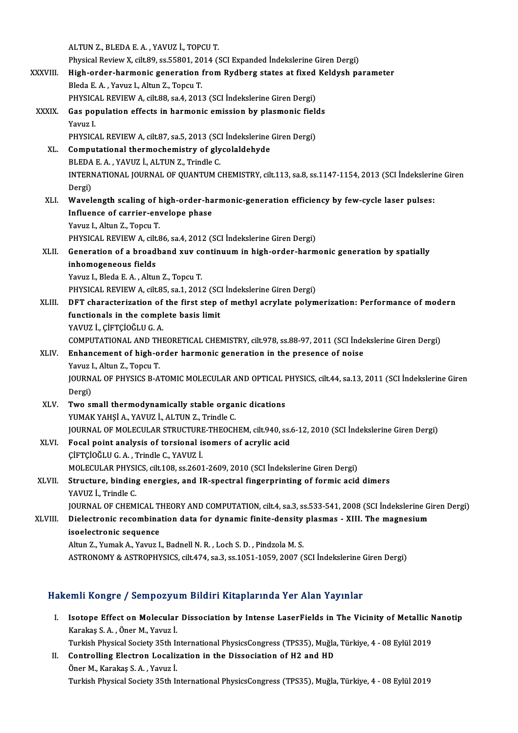ALTUNZ., BLEDAE.A., YAVUZ İ., TOPCUT. ALTUN Z., BLEDA E. A. , YAVUZ İ., TOPCU T.<br>Physical Review X, cilt.89, ss.55801, 2014 (SCI Expanded İndekslerine Giren Dergi)<br>High order harmonis generation from Bydhors states et fixed Keldysh pe XXXVIII. High-order-harmonic generation from Rydberg states at fixed Keldysh parameter<br>Bleda E. A., Yavuz I., Altun Z., Topcu T. Physical Review X, cilt.89, ss.55801, 20<br>High-order-harmonic generation 1<br>Bleda E. A. , Yavuz I., Altun Z., Topcu T.<br>BHYSICAL BEVIEW A. silt 88, ss.4, 2011 High-order-harmonic generation from Rydberg states at fixed<br>Bleda E. A. , Yavuz I., Altun Z., Topcu T.<br>PHYSICAL REVIEW A, cilt.88, sa.4, 2013 (SCI İndekslerine Giren Dergi)<br>Cas nopulation offects in harmonis emission by pl Bleda E. A. , Yavuz I., Altun Z., Topcu T.<br>PHYSICAL REVIEW A, cilt.88, sa.4, 2013 (SCI Indekslerine Giren Dergi)<br>XXXIX. Gas population effects in harmonic emission by plasmonic fields<br>Yayuz I PHYSICA<br>Gas po<sub>l</sub><br>Yavuz I.<br>puvsic*i* Gas population effects in harmonic emission by plasmonic field<br>Yavuz I.<br>PHYSICAL REVIEW A, cilt.87, sa.5, 2013 (SCI İndekslerine Giren Dergi)<br>Computational thermoshemistry of slyselaldebyde Yavuz I.<br>PHYSICAL REVIEW A, cilt. 27, sa. 5, 2013 (SCI indekslerine<br>XL. Computational thermochemistry of glycolaldehyde<br>PLEDA E A YAVUZ I ALTIN Z Trindle C PHYSICAL REVIEW A, cilt.87, sa.5, 2013 (SC<br>Computational thermochemistry of gly<br>BLEDA E. A., YAVUZ İ., ALTUN Z., Trindle C.<br>INTERNATIONAL JOURNAL OF QUANTUM C INTERNATIONAL JOURNAL OF QUANTUM CHEMISTRY, cilt.113, sa.8, ss.1147-1154, 2013 (SCI İndekslerine Giren<br>Dergi) BLEDA E.A., YAVUZ İ., ALTUN Z., Trindle C. XLI. Wavelength scaling of high-order-harmonic-generation efficiency by few-cycle laser pulses: Dergi)<br>Wavelength scaling of high-order-ha<br>Influence of carrier-envelope phase<br>Yaww L. Altun 7, Topeu T Wavelength scaling of **l**<br>Influence of carrier-en<br>Yavuz I., Altun Z., Topcu T.<br>PHYSICAL PEVIEW A silt S Influence of carrier-envelope phase<br>Yavuz I., Altun Z., Topcu T.<br>PHYSICAL REVIEW A, cilt.86, sa.4, 2012 (SCI İndekslerine Giren Dergi)<br>Conenstion of a breadband xuv sentinuum in bish erden berm Yavuz I., Altun Z., Topcu T.<br>PHYSICAL REVIEW A, cilt.86, sa.4, 2012 (SCI İndekslerine Giren Dergi)<br>XLII. Generation of a broadband xuv continuum in high-order-harmonic generation by spatially PHYSICAL REVIEW A, cilt.<br>Generation of a broad<br>inhomogeneous fields<br>Yamy L. Blada E. A. Altu Generation of a broadband xuv co<br>inhomogeneous fields<br>Yavuz I., Bleda E. A. , Altun Z., Topcu T.<br>PHYSICAL PEVIEW A silt 95 so 1 201. inhomogeneous fields<br>Yavuz I., Bleda E. A. , Altun Z., Topcu T.<br>PHYSICAL REVIEW A, cilt.85, sa.1, 2012 (SCI İndekslerine Giren Dergi)<br>PET shanastariration of the first stan of mathul asrulate polum Yavuz I., Bleda E. A. , Altun Z., Topcu T.<br>PHYSICAL REVIEW A, cilt.85, sa.1, 2012 (SCI Indekslerine Giren Dergi)<br>XLIII. DFT characterization of the first step of methyl acrylate polymerization: Performance of modern<br>functi PHYSICAL REVIEW A, cilt.85, sa.1, 2012 (SC)<br>DFT characterization of the first step of<br>functionals in the complete basis limit YAVUZ İ., ÇİFTÇİOĞLU G. A. functionals in the complete basis limit<br>YAVUZ İ., ÇİFTÇİOĞLU G. A.<br>COMPUTATIONAL AND THEORETICAL CHEMISTRY, cilt.978, ss.88-97, 2011 (SCI İndekslerine Giren Dergi)<br>Enhancement of bish erder barmenis seneration in the prese XLIV. Enhancement of high-order harmonic generation in the presence of noise COMPUTATIONAL AND TH<br>**Enhancement of high-o**<br>Yavuz I., Altun Z., Topcu T.<br>JOUPNAL OF PHYSICS P. A. JOURNAL OF PHYSICS B-ATOMIC MOLECULAR AND OPTICAL PHYSICS, cilt.44, sa.13, 2011 (SCI İndekslerine Giren<br>Dergi) Yavuz I., Altun Z., Topcu T. JOURNAL OF PHYSICS B-ATOMIC MOLECULAR AND OPTICAL I<br>Dergi)<br>XLV. Two small thermodynamically stable organic dications<br>VIMAV VAHSLA, VAVUZ LALTIN Z, Trindle C Dergi)<br>Two small thermodynamically stable orgal<br>YUMAK YAHŞİ A., YAVUZ İ., ALTUN Z., Trindle C.<br>JOUPMAL OE MOLECULAR STRUCTURE THEOCH YUMAK YAHŞİ A., YAVUZ İ., ALTUN Z., Trindle C.<br>JOURNAL OF MOLECULAR STRUCTURE-THEOCHEM, cilt.940, ss.6-12, 2010 (SCI İndekslerine Giren Dergi) YUMAK YAHŞİ A., YAVUZ İ., ALTUN Z., Trindle C.<br>JOURNAL OF MOLECULAR STRUCTURE-THEOCHEM, cilt.940, ss.<br>XLVI. Focal point analysis of torsional isomers of acrylic acid<br>CUETCIOČULE A. Trindle C. VAVUZ İ. JOURNAL OF MOLECULAR STRUCTURE<br>Focal point analysis of torsional is<br>ÇİFTÇİOĞLU G.A., Trindle C., YAVUZ İ.<br>MOLECULAR PHYSICS silt 109.93.2601 ÇİFTÇİOĞLU G. A. , Trindle C., YAVUZ İ.<br>MOLECULAR PHYSICS, cilt.108, ss.2601-2609, 2010 (SCI İndekslerine Giren Dergi) CIFTCIOĞLU G. A. , Trindle C., YAVUZ İ.<br>MOLECULAR PHYSICS, cilt.108, ss.2601-2609, 2010 (SCI İndekslerine Giren Dergi)<br>XLVII. Structure, binding energies, and IR-spectral fingerprinting of formic acid dimers<br>YAVUZ İ. Trind MOLECULAR PHYSI<br>Structure, binding<br>YAVUZ İ., Trindle C.<br>JOUPNAL OF CUEM YAVUZ İ., Trindle C.<br>JOURNAL OF CHEMICAL THEORY AND COMPUTATION, cilt.4, sa.3, ss.533-541, 2008 (SCI İndekslerine Giren Dergi) YAVUZ İ., Trindle C.<br>JOURNAL OF CHEMICAL THEORY AND COMPUTATION, cilt.4, sa.3, ss.533-541, 2008 (SCI İndekslerine G<br>XLVIII. Dielectronic recombination data for dynamic finite-density plasmas - XIII. The magnesium<br>isoel **JOURNAL OF CHEMICAL T<br>Dielectronic recombina<br>isoelectronic sequence**<br>Altun 7 - Yumak A - Yayuz I Dielectronic recombination data for dynamic finite-density<br>isoelectronic sequence<br>Altun Z., Yumak A., Yavuz I., Badnell N.R. , Loch S.D. , Pindzola M.S.<br>ASTRONOMY & ASTROPHYSICS silt 474 sp.2 sp.1051 1059 2007 (1 isoelectronic sequence<br>Altun Z., Yumak A., Yavuz I., Badnell N. R. , Loch S. D. , Pindzola M. S.<br>ASTRONOMY & ASTROPHYSICS, cilt.474, sa.3, ss.1051-1059, 2007 (SCI İndekslerine Giren Dergi)

## Hakemli Kongre / Sempozyum Bildiri Kitaplarında Yer Alan Yayınlar

akemli Kongre / Sempozyum Bildiri Kitaplarında Yer Alan Yayınlar<br>I. Isotope Effect on Molecular Dissociation by Intense LaserFields in The Vicinity of Metallic Nanotip Karakaş S.A. , Özürp Saya<br>Isotope Effect on Molecular<br>Karakaş S.A. , Öner M., Yavuz İ. Isotope Effect on Molecular Dissociation by Intense LaserFields in The Vicinity of Metallic N<br>Karakaş S. A. , Öner M., Yavuz İ.<br>Turkish Physical Society 35th International PhysicsCongress (TPS35), Muğla, Türkiye, 4 - 08 Ey

Karakaş S. A. , Öner M., Yavuz İ.<br>Turkish Physical Society 35th International PhysicsCongress (TPS35), Muğla<br>II. Controlling Electron Localization in the Dissociation of H2 and HD<br>Öner M. Karakas S. A. Yayıyı İ. Turkish Physical Society 35th In<br>Controlling Electron Localiz<br>Öner M., Karakaş S.A. , Yavuz İ.<br>Turkish Physical Society 35th I. Öner M., Karakaş S. A. , Yavuz İ.<br>Turkish Physical Society 35th International PhysicsCongress (TPS35), Muğla, Türkiye, 4 - 08 Eylül 2019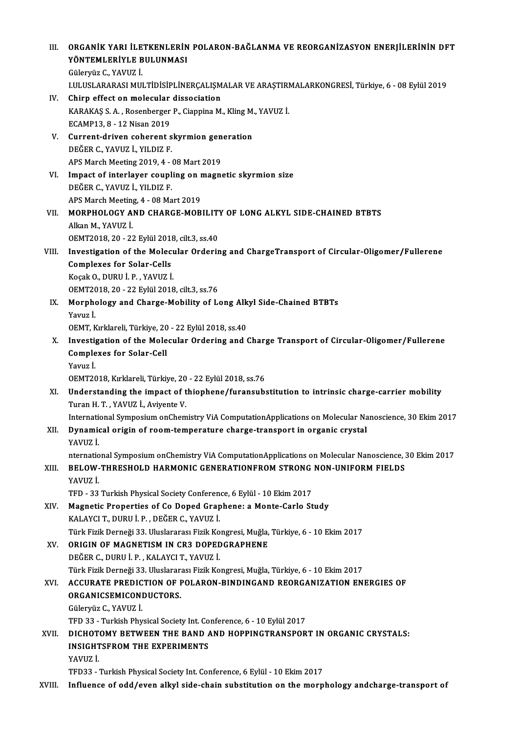| Ш.    | ORGANIK YARI İLETKENLERIN POLARON-BAĞLANMA VE REORGANIZASYON ENERJİLERININ DFT                                 |
|-------|----------------------------------------------------------------------------------------------------------------|
|       | YÖNTEMLERİYLE BULUNMASI                                                                                        |
|       | Güleryüz C., YAVUZ İ.                                                                                          |
|       | I.ULUSLARARASI MULTIDISIPLINERÇALIŞMALAR VE ARAŞTIRMALARKONGRESİ, Türkiye, 6 - 08 Eylül 2019                   |
| IV.   | Chirp effect on molecular dissociation                                                                         |
|       | KARAKAŞ S. A., Rosenberger P., Ciappina M., Kling M., YAVUZ İ.                                                 |
|       | ECAMP13, 8 - 12 Nisan 2019                                                                                     |
| V.    | Current-driven coherent skyrmion generation                                                                    |
|       | DEĞER C., YAVUZ İ., YILDIZ F.                                                                                  |
|       | APS March Meeting 2019, 4 - 08 Mart 2019                                                                       |
| VI.   | Impact of interlayer coupling on magnetic skyrmion size                                                        |
|       | DEĞER C., YAVUZ İ., YILDIZ F.                                                                                  |
|       | APS March Meeting, 4 - 08 Mart 2019                                                                            |
| VII.  | MORPHOLOGY AND CHARGE-MOBILITY OF LONG ALKYL SIDE-CHAINED BTBTS                                                |
|       | Alkan M., YAVUZ İ.                                                                                             |
|       | OEMT2018, 20 - 22 Eylül 2018, cilt 3, ss.40                                                                    |
| VIII. | Investigation of the Molecular Ordering and ChargeTransport of Circular-Oligomer/Fullerene                     |
|       | <b>Complexes for Solar-Cells</b>                                                                               |
|       | Koçak O., DURU İ. P., YAVUZ İ.                                                                                 |
|       | OEMT2018, 20 - 22 Eylül 2018, cilt 3, ss.76<br>Morphology and Charge-Mobility of Long Alkyl Side-Chained BTBTs |
| IX.   | Yavuz İ                                                                                                        |
|       | OEMT, Kırklareli, Türkiye, 20 - 22 Eylül 2018, ss.40                                                           |
| X.    | Investigation of the Molecular Ordering and Charge Transport of Circular-Oligomer/Fullerene                    |
|       | <b>Complexes for Solar-Cell</b>                                                                                |
|       | Yavuz İ                                                                                                        |
|       | OEMT2018, Kırklareli, Türkiye, 20 - 22 Eylül 2018, ss 76                                                       |
| XI.   | Understanding the impact of thiophene/furansubstitution to intrinsic charge-carrier mobility                   |
|       | Turan H. T. . YAVUZ I Avivente V.                                                                              |
|       | International Symposium onChemistry ViA ComputationApplications on Molecular Nanoscience, 30 Ekim 2017         |
| XII.  | Dynamical origin of room-temperature charge-transport in organic crystal                                       |
|       | YAVUZ İ.                                                                                                       |
|       | nternational Symposium onChemistry ViA ComputationApplications on Molecular Nanoscience, 30 Ekim 2017          |
| XIII. | BELOW-THRESHOLD HARMONIC GENERATIONFROM STRONG NON-UNIFORM FIELDS                                              |
|       | YAVUZ İ                                                                                                        |
|       | TFD - 33 Turkish Physical Society Conference, 6 Eylül - 10 Ekim 2017                                           |
| XIV.  | Magnetic Properties of Co Doped Graphene: a Monte-Carlo Study                                                  |
|       | KALAYCI T., DURU İ. P., DEĞER C., YAVUZ İ.                                                                     |
|       | Türk Fizik Derneği 33. Uluslararası Fizik Kongresi, Muğla, Türkiye, 6 - 10 Ekim 2017                           |
| XV.   | ORIGIN OF MAGNETISM IN CR3 DOPEDGRAPHENE                                                                       |
|       | DEĞER C., DURU İ. P., KALAYCI T., YAVUZ İ.                                                                     |
|       | Türk Fizik Derneği 33. Uluslararası Fizik Kongresi, Muğla, Türkiye, 6 - 10 Ekim 2017                           |
| XVI.  | ACCURATE PREDICTION OF POLARON-BINDINGAND REORGANIZATION ENERGIES OF                                           |
|       | ORGANICSEMICONDUCTORS.                                                                                         |
|       | Güleryüz C., YAVUZ İ                                                                                           |
|       | TFD 33 - Turkish Physical Society Int. Conference, 6 - 10 Eylül 2017                                           |
| XVII. | DICHOTOMY BETWEEN THE BAND AND HOPPINGTRANSPORT IN ORGANIC CRYSTALS:                                           |
|       | <b>INSIGHTSFROM THE EXPERIMENTS</b>                                                                            |
|       | YAVUZ İ                                                                                                        |
|       | TFD33 - Turkish Physical Society Int. Conference, 6 Eylül - 10 Ekim 2017                                       |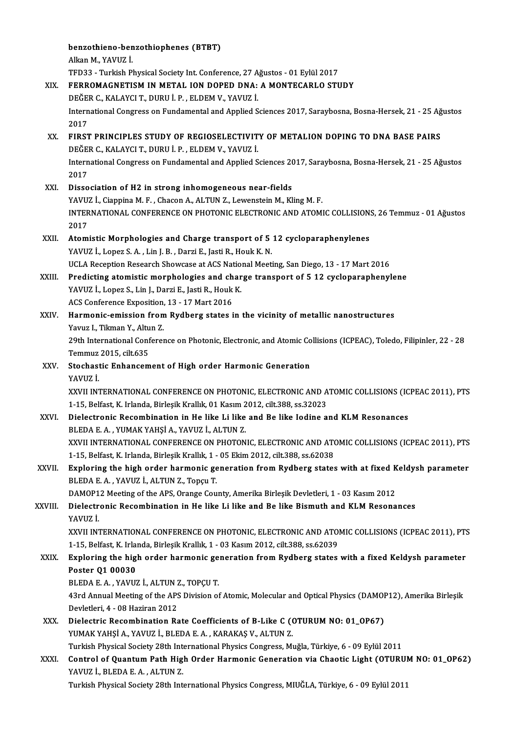benzothieno-benzothiophenes (BTBT)<br>Allya M. VAVUZ i **benzothieno-ben**<br>Alkan M., YAVUZ İ.<br>TED22., Turkish Pl Alkan M., YAVUZ İ.<br>TFD33 - Turkish Physical Society Int. Conference, 27 Ağustos - 01 Eylül 2017 XIX. FERROMAGNETISM IN METAL ION DOPED DNA: A MONTECARLO STUDY TFD33 - Turkish Physical Society Int. Conference, 27 A<br>FERROMAGNETISM IN METAL ION DOPED DNA:<br>DEĞER C., KALAYCI T., DURU İ. P. , ELDEM V., YAVUZ İ.<br>International Congress on Eundamental and Annlied S International Congress on Fundamental and Applied Sciences 2017, Saraybosna, Bosna-Hersek, 21 - 25 Ağustos<br>2017 DE<mark>ĞE</mark><br>Intern<br>2017<br>EIPST International Congress on Fundamental and Applied Sciences 2017, Saraybosna, Bosna-Hersek, 21 - 25 Ağ<br>2017<br>XX. FIRST PRINCIPLES STUDY OF REGIOSELECTIVITY OF METALION DOPING TO DNA BASE PAIRS<br>DEČER C KALAYCLT DUPLLI R. ELDE 2017<br>FIRST PRINCIPLES STUDY OF REGIOSELECTIVIT<br>DEĞER C., KALAYCI T., DURU İ. P. , ELDEM V., YAVUZ İ.<br>International Congress en Eundamental and Annlied S FIRST PRINCIPLES STUDY OF REGIOSELECTIVITY OF METALION DOPING TO DNA BASE PAIRS<br>DEĞER C., KALAYCI T., DURU İ. P. , ELDEM V., YAVUZ İ.<br>International Congress on Fundamental and Applied Sciences 2017, Saraybosna, Bosna-Herse DEĞE<br>Intern<br>2017<br>Disse International Congress on Fundamental and Applied Sciences 20<br>2017<br>XXI. Dissociation of H2 in strong inhomogeneous near-fields<br>XAVIIZ L Ciapping M E Chasen A ALTIN Z Lovenstein M KI 2017<br>XXI. Dissociation of H2 in strong inhomogeneous near-fields<br>YAVUZ İ., Ciappina M. F. , Chacon A., ALTUN Z., Lewenstein M., Kling M. F. Dissociation of H2 in strong inhomogeneous near-fields<br>YAVUZ İ., Ciappina M. F. , Chacon A., ALTUN Z., Lewenstein M., Kling M. F.<br>INTERNATIONAL CONFERENCE ON PHOTONIC ELECTRONIC AND ATOMIC COLLISIONS, 26 Temmuz - 01 Ağusto **YAVU**<br>INTER<br>2017 INTERNATIONAL CONFERENCE ON PHOTONIC ELECTRONIC AND ATOMIC COLLISION:<br>2017<br>XXII. Atomistic Morphologies and Charge transport of 5 12 cycloparaphenylenes<br>XAVIIZ LODGE S A. Lin L.B. Dergi E. Jesti B. Hoult K.N. 2017<br>Atomistic Morphologies and Charge transport of 5 12 cycloparaphenylenes<br>YAVUZ İ., Lopez S. A. , Lin J. B. , Darzi E., Jasti R., Houk K. N. UCLAReceptionResearch Showcase atACSNationalMeeting,SanDiego,13 -17Mart2016 YAVUZ İ., Lopez S. A. , Lin J. B. , Darzi E., Jasti R., Houk K. N.<br>UCLA Reception Research Showcase at ACS National Meeting, San Diego, 13 - 17 Mart 2016<br>XXIII. Predicting atomistic morphologies and charge transport of 5 1 UCLA Reception Research Showcase at ACS Nation<br>Predicting atomistic morphologies and char<br>YAVUZ İ., Lopez S., Lin J., Darzi E., Jasti R., Houk K. Predicting atomistic morphologies and ch<br>YAVUZ İ., Lopez S., Lin J., Darzi E., Jasti R., Houk<br>ACS Conference Exposition, 13 - 17 Mart 2016<br>Harmonis emission from Bydborg states i YAVUZ İ., Lopez S., Lin J., Darzi E., Jasti R., Houk K.<br>ACS Conference Exposition, 13 - 17 Mart 2016<br>XXIV. Harmonic-emission from Rydberg states in the vicinity of metallic nanostructures<br>Yavuz I., Tikman Y., Altun Z. ACS Conference Exposition, 13 - 17 Mart 2016 Harmonic-emission from Rydberg states in the vicinity of metallic nanostructures<br>Yavuz I., Tikman Y., Altun Z.<br>29th International Conference on Photonic, Electronic, and Atomic Collisions (ICPEAC), Toledo, Filipinler, 22 -Yavuz I., Tikman Y., Altu<br>29th International Conf<br>Temmuz 2015, cilt.635<br>Stechastic Enhansem 29th International Conference on Photonic, Electronic, and Atomic Co<br>Temmuz 2015, cilt.635<br>XXV. Stochastic Enhancement of High order Harmonic Generation<br>VAVIIZ i Temmuz 2015, cilt.635<br>Stochastic Enhancement of High order Harmonic Generation<br>YAVUZ İ. Stochastic Enhancement of High order Harmonic Generation<br>YAVUZ İ.<br>XXVII INTERNATIONAL CONFERENCE ON PHOTONIC, ELECTRONIC AND ATOMIC COLLISIONS (ICPEAC 2011), PTS<br>1.15. Pel<sup>e</sup>cet K. Irlanda. Birlesik Krallık 01 Kesun 2012, YAVUZ İ.<br>XXVII INTERNATIONAL CONFERENCE ON PHOTONIC, ELECTRONIC AND A<br>1-15, Belfast, K. Irlanda, Birleşik Krallık, 01 Kasım 2012, cilt.388, ss.32023<br>Dielectronia Becombination in He like Li like and Be like Lodine A XXVII INTERNATIONAL CONFERENCE ON PHOTONIC, ELECTRONIC AND ATOMIC COLLISIONS (IC<br>1-15, Belfast, K. Irlanda, Birleşik Krallık, 01 Kasım 2012, cilt.388, ss.32023<br>XXVI. Dielectronic Recombination in He like Li like and Be lik 1-15, Belfast, K. Irlanda, Birleşik Krallık, 01 Kasım 2012, cilt.388, ss.32023<br>XXVI. Dielectronic Recombination in He like Li like and Be like Iodine and KLM Resonances<br>BLEDA E. A. , YUMAK YAHSİ A., YAVUZ İ., ALTUN Z. Dielectronic Recombination in He like Li like and Be like Iodine and KLM Resonances<br>BLEDA E. A. , YUMAK YAHŞİ A., YAVUZ İ., ALTUN Z.<br>XXVII INTERNATIONAL CONFERENCE ON PHOTONIC, ELECTRONIC AND ATOMIC COLLISIONS (ICPEAC 2011 BLEDA E. A. , YUMAK YAHŞİ A., YAVUZ İ., ALTUN Z.<br>XXVII INTERNATIONAL CONFERENCE ON PHOTONIC, ELECTRONIC AND ATO<br>1-15, Belfast, K. Irlanda, Birleşik Krallık, 1 - 05 Ekim 2012, cilt.388, ss.62038<br>Evnloring the bish ender ber XXVII INTERNATIONAL CONFERENCE ON PHOTONIC, ELECTRONIC AND ATOMIC COLLISIONS (ICPEAC 2011), PTS<br>1-15, Belfast, K. Irlanda, Birleşik Krallık, 1 - 05 Ekim 2012, cilt.388, ss.62038<br>XXVII. Exploring the high order harmonic gen 1-15, Belfast, K. Irlanda, Birleşik Krallık, 1 -<br>Exploring the high order harmonic ge<br>BLEDA E. A. , YAVUZ İ., ALTUN Z., Topçu T.<br>DAMOP12 Meeting of the ABS Orange Cou Exploring the high order harmonic generation from Rydberg states with at fixed K<br>BLEDA E. A. , YAVUZ İ., ALTUN Z., Topçu T.<br>DAMOP12 Meeting of the APS, Orange County, Amerika Birleşik Devletleri, 1 - 03 Kasım 2012<br>Dielectr BLEDA E. A. , YAVUZ İ., ALTUN Z., Topçu T.<br>DAMOP12 Meeting of the APS, Orange County, Amerika Birleşik Devletleri, 1 - 03 Kasım 2012<br>XXVIII. Dielectronic Recombination in He like Li like and Be like Bismuth and KLM Res DAMOP<mark>1</mark><br>Dielectr<br>YAVUZ İ.<br>YYVU INT Dielectronic Recombination in He like Li like and Be like Bismuth and KLM Resonances<br>YAVUZ İ.<br>XXVII INTERNATIONAL CONFERENCE ON PHOTONIC, ELECTRONIC AND ATOMIC COLLISIONS (ICPEAC 2011), PTS<br>1.15. Belfect K. Irlanda. Birleş YAVUZ İ.<br>XXVII INTERNATIONAL CONFERENCE ON PHOTONIC, ELECTRONIC AND ATO!<br>1-15, Belfast, K. Irlanda, Birleşik Krallık, 1 - 03 Kasım 2012, cilt.388, ss.62039<br>Evnloring the bigh erder harmenis generation from Bydhers states. XXVII INTERNATIONAL CONFERENCE ON PHOTONIC, ELECTRONIC AND ATOMIC COLLISIONS (ICPEAC 2011), PT.<br>1-15, Belfast, K. Irlanda, Birleşik Krallık, 1 - 03 Kasım 2012, cilt.388, ss.62039<br>XXIX. Exploring the high order harmonic gen 1-15, Belfast, K. Irla<br>Exploring the high<br>Poster Q1 00030 Exploring the high order harmonic ge<br>Poster Q1 00030<br>BLEDA E. A., YAVUZ İ., ALTUN Z., TOPÇU T.<br>42rd Annual Meeting of the APS Division of Poster Q1 00030<br>BLEDA E. A. , YAVUZ İ., ALTUN Z., TOPÇU T.<br>43rd Annual Meeting of the APS Division of Atomic, Molecular and Optical Physics (DAMOP12), Amerika Birleşik<br>Devletleri. 4 - 08 Haziran 2012 BLEDA E.A., YAVUZ İ., ALTUN Z., TOPÇU T. XXX. Dielectric Recombination Rate Coefficients of B-Like C (OTURUM NO: 01\_0P67) YUMAK YAHŞİ A., YAVUZ İ., BLEDA E. A., KARAKAŞ V., ALTUN Z. Dielectric Recombination Rate Coefficients of B-Like C (OTURUM NO: 01\_0P67)<br>YUMAK YAHŞİ A., YAVUZ İ., BLEDA E. A. , KARAKAŞ V., ALTUN Z.<br>Turkish Physical Society 28th International Physics Congress, Muğla, Türkiye, 6 - 09 XXXI. Control of Quantum Path High Order Harmonic Generation via Chaotic Light (OTURUM NO: 01\_0P62)<br>YAVUZ İ., BLEDA E. A., ALTUN Z. Turkish Physical Society 28th International of Quantum Path High<br>YAVUZ İ., BLEDA E. A. , ALTUN Z.<br>Turkish Physical Society 28th Inte Turkish Physical Society 28th International Physics Congress, MIUĞLA, Türkiye, 6 - 09 Eylül 2011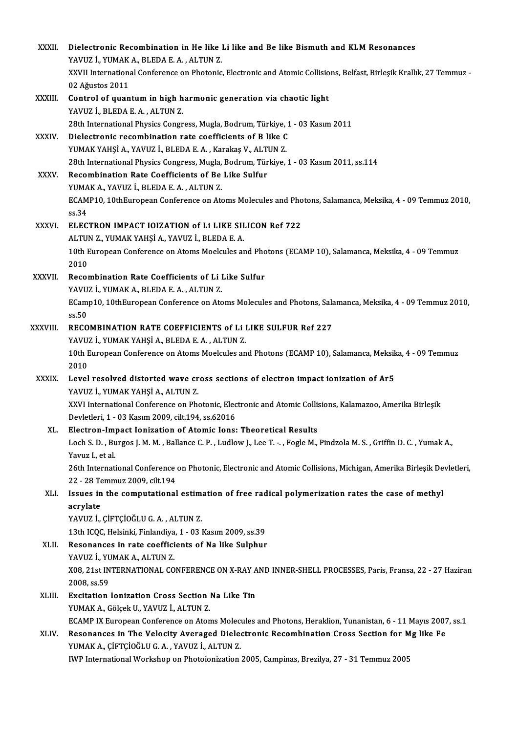| XXXII.        | Dielectronic Recombination in He like Li like and Be like Bismuth and KLM Resonances                                                     |
|---------------|------------------------------------------------------------------------------------------------------------------------------------------|
|               | YAVUZ İ., YUMAK A., BLEDA E. A., ALTUN Z.                                                                                                |
|               | XXVII International Conference on Photonic, Electronic and Atomic Collisions, Belfast, Birleşik Krallık, 27 Temmuz -                     |
|               | 02 Ağustos 2011                                                                                                                          |
| XXXIII.       | Control of quantum in high harmonic generation via chaotic light                                                                         |
|               | YAVUZ İ., BLEDA E.A., ALTUN Z.                                                                                                           |
|               | 28th International Physics Congress, Mugla, Bodrum, Türkiye, 1 - 03 Kasım 2011                                                           |
| <b>XXXIV</b>  | Dielectronic recombination rate coefficients of B like C                                                                                 |
|               | YUMAK YAHŞİ A., YAVUZ İ., BLEDA E. A., Karakaş V., ALTUN Z.                                                                              |
|               | 28th International Physics Congress, Mugla, Bodrum, Türkiye, 1 - 03 Kasım 2011, ss.114                                                   |
| <b>XXXV</b>   | Recombination Rate Coefficients of Be Like Sulfur                                                                                        |
|               | YUMAK A, YAVUZ İ, BLEDA E.A., ALTUN Z.                                                                                                   |
|               | ECAMP10, 10thEuropean Conference on Atoms Molecules and Photons, Salamanca, Meksika, 4 - 09 Temmuz 2010,                                 |
|               | ss 34                                                                                                                                    |
| XXXVI.        | ELECTRON IMPACT IOIZATION of Li LIKE SILICON Ref 722<br>ALTUN Z., YUMAK YAHŞİ A., YAVUZ İ., BLEDA E. A.                                  |
|               | 10th European Conference on Atoms Moelcules and Photons (ECAMP 10), Salamanca, Meksika, 4 - 09 Temmuz                                    |
|               | 2010                                                                                                                                     |
| <b>XXXVII</b> | Recombination Rate Coefficients of Li Like Sulfur                                                                                        |
|               | YAVUZ İ., YUMAK A., BLEDA E. A., ALTUN Z.                                                                                                |
|               | ECamp10, 10thEuropean Conference on Atoms Molecules and Photons, Salamanca, Meksika, 4 - 09 Temmuz 2010,                                 |
|               | ss.50                                                                                                                                    |
| XXXVIII.      | RECOMBINATION RATE COEFFICIENTS of Li LIKE SULFUR Ref 227                                                                                |
|               | YAVUZ İ., YUMAK YAHŞİ A., BLEDA E. A., ALTUN Z.                                                                                          |
|               | 10th European Conference on Atoms Moelcules and Photons (ECAMP 10), Salamanca, Meksika, 4 - 09 Temmuz                                    |
|               | 2010                                                                                                                                     |
| <b>XXXIX</b>  | Level resolved distorted wave cross sections of electron impact ionization of Ar5                                                        |
|               | YAVUZ İ., YUMAK YAHŞİ A., ALTUN Z.                                                                                                       |
|               | XXVI International Conference on Photonic, Electronic and Atomic Collisions, Kalamazoo, Amerika Birleşik                                 |
|               | Devletleri, 1 - 03 Kasım 2009, cilt 194, ss 62016                                                                                        |
| XL.           | Electron-Impact Ionization of Atomic Ions: Theoretical Results                                                                           |
|               | Loch S. D., Burgos J. M. M., Ballance C. P., Ludlow J., Lee T. - , Fogle M., Pindzola M. S., Griffin D. C., Yumak A.,<br>Yavuz I, et al. |
|               | 26th International Conference on Photonic, Electronic and Atomic Collisions, Michigan, Amerika Birleşik Devletleri,                      |
|               | 22 - 28 Temmuz 2009, cilt 194                                                                                                            |
| XLI.          | Issues in the computational estimation of free radical polymerization rates the case of methyl                                           |
|               | acrylate                                                                                                                                 |
|               | YAVUZ İ., ÇİFTÇİOĞLU G. A., ALTUN Z.                                                                                                     |
|               | 13th ICQC, Helsinki, Finlandiya, 1 - 03 Kasım 2009, ss.39                                                                                |
| XLII.         | Resonances in rate coefficients of Na like Sulphur                                                                                       |
|               | YAVUZ İ, YUMAK A, ALTUN Z.                                                                                                               |
|               | X08, 21st INTERNATIONAL CONFERENCE ON X-RAY AND INNER-SHELL PROCESSES, Paris, Fransa, 22 - 27 Haziran                                    |
|               | 2008, ss 59                                                                                                                              |
| XLIII.        | Excitation Ionization Cross Section Na Like Tin                                                                                          |
|               | YUMAK A., Gölçek U., YAVUZ İ., ALTUN Z.                                                                                                  |
|               | ECAMP IX European Conference on Atoms Molecules and Photons, Heraklion, Yunanistan, 6 - 11 Mayıs 2007, ss.1                              |
| XLIV.         | Resonances in The Velocity Averaged Dielectronic Recombination Cross Section for Mg like Fe                                              |
|               | YUMAK A., ÇİFTÇİOĞLU G. A., YAVUZ İ., ALTUN Z.                                                                                           |
|               | IWP International Workshop on Photoionization 2005, Campinas, Brezilya, 27 - 31 Temmuz 2005                                              |
|               |                                                                                                                                          |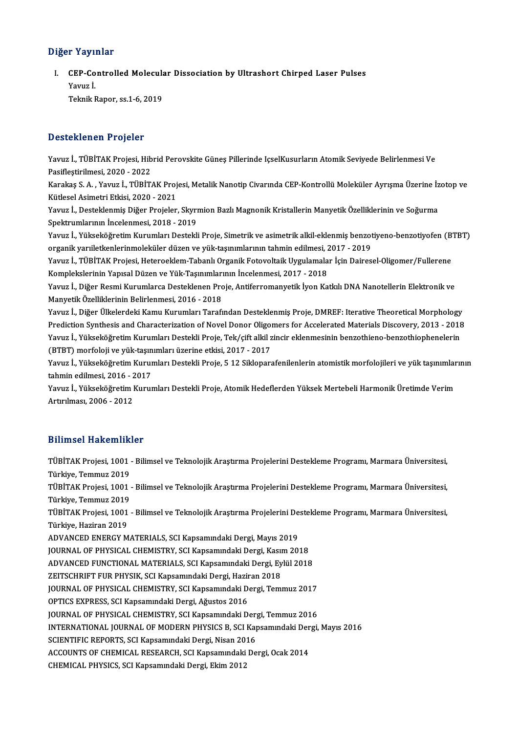### Diğer Yayınlar

iğer Yayınlar<br>I. CEP-Controlled Molecular Dissociation by Ultrashort Chirped Laser Pulses<br>Yayını İ r<br>Pavuz İ.<br>Yavuz İ. Yavuz İ.<br>Teknik Rapor, ss.1-6, 2019

### Desteklenen Projeler

Desteklenen Projeler<br>Yavuz İ., TÜBİTAK Projesi, Hibrid Perovskite Güneş Pillerinde IçselKusurların Atomik Seviyede Belirlenmesi Ve<br>Pesiflestirilmesi, 2020, ...2022 Pasiflestirilmesi, 2020<br>Pasifleştirilmesi, 2020 - 2022<br>Karakas S. A., Yayıya İ., Tüpir. Yavuz İ., TÜBİTAK Projesi, Hibrid Perovskite Güneş Pillerinde IçselKusurların Atomik Seviyede Belirlenmesi Ve<br>Pasifleştirilmesi, 2020 - 2022<br>Karakaş S. A. , Yavuz İ., TÜBİTAK Projesi, Metalik Nanotip Civarında CEP-Kontroll

Pasifleştirilmesi, 2020 - 2022<br>Karakaş S. A. , Yavuz İ., TÜBİTAK Proj<br>Kütlesel Asimetri Etkisi, 2020 - 2021<br>Yavuz İ. Desteklenmiş Diğer Projeler Karakaş S. A. , Yavuz İ., TÜBİTAK Projesi, Metalik Nanotip Civarında CEP-Kontrollü Moleküler Ayrışma Üzerine İz<br>Kütlesel Asimetri Etkisi, 2020 - 2021<br>Yavuz İ., Desteklenmiş Diğer Projeler, Skyrmion Bazlı Magnonik Kristalle

Kütlesel Asimetri Etkisi, 2020 - 2021<br>Yavuz İ., Desteklenmiş Diğer Projeler, Skyrmion Bazlı Magnonik Kristallerin Manyetik Özelliklerinin ve Soğurma<br>Spektrumlarının İncelenmesi, 2018 - 2019 Yavuz İ., Desteklenmiş Diğer Projeler, Skyrmion Bazlı Magnonik Kristallerin Manyetik Özelliklerinin ve Soğurma<br>Spektrumlarının İncelenmesi, 2018 - 2019<br>Yavuz İ., Yükseköğretim Kurumları Destekli Proje, Simetrik ve asimetri

Spektrumlarının İncelenmesi, 2018 - 2019<br>Yavuz İ., Yükseköğretim Kurumları Destekli Proje, Simetrik ve asimetrik alkil-eklenmiş benzot<br>organik yarıiletkenlerinmoleküler düzen ve yük-taşınımlarının tahmin edilmesi, 2017 - 2 Yavuz İ., Yükseköğretim Kurumları Destekli Proje, Simetrik ve asimetrik alkil-eklenmiş benzotiyeno-benzotiyofen (B<br>organik yarıiletkenlerinmoleküler düzen ve yük-taşınımlarının tahmin edilmesi, 2017 - 2019<br>Yavuz İ., TÜBİTA

organik yarıiletkenlerinmoleküler düzen ve yük-taşınımlarının tahmin edilmesi, 2017 - 2019<br>Yavuz İ., TÜBİTAK Projesi, Heteroeklem-Tabanlı Organik Fotovoltaik Uygulamalar İçin Dairesel-Oligomer/Fullerene<br>Komplekslerinin Yap Yavuz İ., TÜBİTAK Projesi, Heteroeklem-Tabanlı Organik Fotovoltaik Uygulamalar İçin Dairesel-Oligomer/Fullerene<br>Komplekslerinin Yapısal Düzen ve Yük-Taşınımlarının İncelenmesi, 2017 - 2018<br>Yavuz İ., Diğer Resmi Kurumlarca

Komplekslerinin Yapısal Düzen ve Yük-Taşınımları<br>Yavuz İ., Diğer Resmi Kurumlarca Desteklenen Pro<br>Manyetik Özelliklerinin Belirlenmesi, 2016 - 2018<br>Yavuz İ. Diğer Ülkelerdeki Kamu Kurumları Tarafı Yavuz İ., Diğer Resmi Kurumlarca Desteklenen Proje, Antiferromanyetik İyon Katkılı DNA Nanotellerin Elektronik ve<br>Manyetik Özelliklerinin Belirlenmesi, 2016 - 2018<br>Yavuz İ., Diğer Ülkelerdeki Kamu Kurumları Tarafından Dest

Manyetik Özelliklerinin Belirlenmesi, 2016 - 2018<br>Yavuz İ., Diğer Ülkelerdeki Kamu Kurumları Tarafından Desteklenmiş Proje, DMREF: Iterative Theoretical Morphology<br>Prediction Synthesis and Characterization of Novel Donor O Yavuz İ., Diğer Ülkelerdeki Kamu Kurumları Tarafından Desteklenmiş Proje, DMREF: Iterative Theoretical Morphology<br>Prediction Synthesis and Characterization of Novel Donor Oligomers for Accelerated Materials Discovery, 2013 Prediction Synthesis and Characterization of Novel Donor Oligon<br>Yavuz İ., Yükseköğretim Kurumları Destekli Proje, Tek/çift alkil z<br>(BTBT) morfoloji ve yük-taşınımları üzerine etkisi, 2017 - 2017<br>Yavuz İ. Vülseköğretim Kuru Yavuz İ., Yükseköğretim Kurumları Destekli Proje, Tek/çift alkil zincir eklenmesinin benzothieno-benzothiophenelerin<br>(BTBT) morfoloji ve yük-taşınımları üzerine etkisi, 2017 - 2017<br>Yavuz İ., Yükseköğretim Kurumları Destekl

(BTBT) morfoloji ve yük-taşınımları üzerine etkisi, 2017 - 2017<br>Yavuz İ., Yükseköğretim Kurumları Destekli Proje, 5 12 Siklopar<br>tahmin edilmesi, 2016 - 2017 Yavuz İ., Yükseköğretim Kurumları Destekli Proje, 5 12 Sikloparafenilenlerin atomistik morfolojileri ve yük taşınımlarının<br>tahmin edilmesi, 2016 - 2017<br>Yavuz İ., Yükseköğretim Kurumları Destekli Proje, Atomik Hedeflerden Y

Yavuz İ., Yükseköğretim Kurumları Destekli Proje, Atomik Hedeflerden Yüksek Mertebeli Harmonik Üretimde Verim

### Bilimsel Hakemlikler

Bilimsel Hakemlikler<br>TÜBİTAK Projesi, 1001 - Bilimsel ve Teknolojik Araştırma Projelerini Destekleme Programı, Marmara Üniversitesi,<br>Türkiye Temmuz 2019 Sammoor aantomaan<br>TÜBİTAK Projesi, 1001<br>Türkiye, Temmuz 2019<br>TÜBİTAK Projesi, 1001 TÜBİTAK Projesi, 1001 - Bilimsel ve Teknolojik Araştırma Projelerini Destekleme Programı, Marmara Üniversitesi,<br>Türkiye, Temmuz 2019<br>TüBİTAK Projesi, 1001 - Bilimsel ve Teknolojik Araştırma Projelerini Destekleme Programı, Türkiye, Temmuz 2019<br>TÜBİTAK Projesi, 1001<br>Türkiye, Temmuz 2019<br>TÜBİTAK Projesi, 1001 TÜBİTAK Projesi, 1001 - Bilimsel ve Teknolojik Araştırma Projelerini Destekleme Programı, Marmara Üniversitesi,<br>Türkiye, Temmuz 2019<br>TüBİTAK Projesi, 1001 - Bilimsel ve Teknolojik Araştırma Projelerini Destekleme Programı, Türkiye, Temmuz 2019<br>TÜBİTAK Projesi, 1001 - Bilimsel ve Teknolojik Araştırma Projelerini Destekleme Programı, Marmara Üniversitesi,<br>Türkiye, Haziran 2019 ADVANCED ENERGY MATERIALS, SCI Kapsamındaki Dergi, Mayıs 2019 JOURNAL OF PHYSICAL CHEMISTRY, SCI Kapsamındaki Dergi, Kasım 2018 ADVANCED ENERGY MATERIALS, SCI Kapsamındaki Dergi, Mayıs 2019<br>JOURNAL OF PHYSICAL CHEMISTRY, SCI Kapsamındaki Dergi, Kasım 2018<br>ADVANCED FUNCTIONAL MATERIALS, SCI Kapsamındaki Dergi, Eylül 2018<br>ZEITSCHRIET EUR RHYSIK SCI K JOURNAL OF PHYSICAL CHEMISTRY, SCI Kapsamındaki Dergi, Kası<br>ADVANCED FUNCTIONAL MATERIALS, SCI Kapsamındaki Dergi, Ey<br>ZEITSCHRIFT FUR PHYSIK, SCI Kapsamındaki Dergi, Haziran 2018<br>JOUPNAL OF PHYSICAL CHEMISTRY, SCI Kapsamın ADVANCED FUNCTIONAL MATERIALS, SCI Kapsamındaki Dergi, Eylül 2018<br>ZEITSCHRIFT FUR PHYSIK, SCI Kapsamındaki Dergi, Haziran 2018<br>JOURNAL OF PHYSICAL CHEMISTRY, SCI Kapsamındaki Dergi, Temmuz 2017<br>OPTICS EXPRESS, SCI Kapsamın ZEITSCHRIFT FUR PHYSIK, SCI Kapsamındaki Dergi, Haziran 2018<br>JOURNAL OF PHYSICAL CHEMISTRY, SCI Kapsamındaki Dergi, Temmuz 2017<br>OPTICS EXPRESS, SCI Kapsamındaki Dergi, Ağustos 2016 JOURNAL OF PHYSICAL CHEMISTRY, SCI Kapsamındaki Dergi, Temmuz 2017<br>OPTICS EXPRESS, SCI Kapsamındaki Dergi, Ağustos 2016<br>JOURNAL OF PHYSICAL CHEMISTRY, SCI Kapsamındaki Dergi, Temmuz 2016<br>INTERNATIONAL JOURNAL OF MODERN RUY INTERNATIONAL JOURNAL OF MODERN PHYSICS B, SCI Kapsamındaki Dergi, Mayıs 2016<br>SCIENTIFIC REPORTS, SCI Kapsamındaki Dergi, Nisan 2016 JOURNAL OF PHYSICAL CHEMISTRY, SCI Kapsamındaki Der<sub>i</sub><br>INTERNATIONAL JOURNAL OF MODERN PHYSICS B, SCI Ka<sub>l</sub><br>SCIENTIFIC REPORTS, SCI Kapsamındaki Dergi, Nisan 2016<br>ACCOUNTS OF CHEMICAL RESEARCH SCI Kapsamındaki De INTERNATIONAL JOURNAL OF MODERN PHYSICS B, SCI Kapsamındaki Der<br>SCIENTIFIC REPORTS, SCI Kapsamındaki Dergi, Nisan 2016<br>ACCOUNTS OF CHEMICAL RESEARCH, SCI Kapsamındaki Dergi, Ocak 2014<br>CHEMICAL PHYSICS, SCI Kapsamındaki Der SCIENTIFIC REPORTS, SCI Kapsamındaki Dergi, Nisan 20<br>ACCOUNTS OF CHEMICAL RESEARCH, SCI Kapsamındaki<br>CHEMICAL PHYSICS, SCI Kapsamındaki Dergi, Ekim 2012